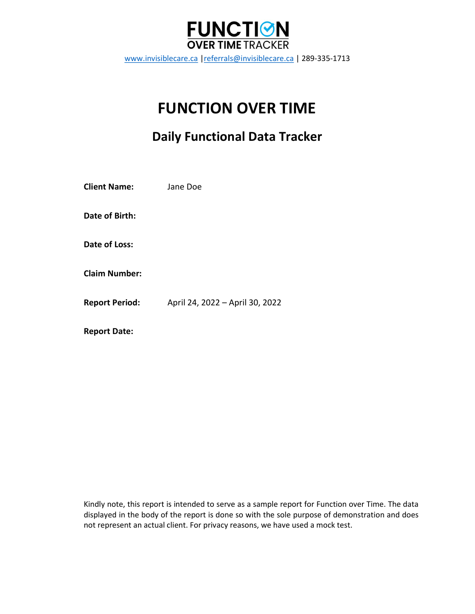

www.invisiblecare.ca |referrals@invisiblecare.ca | 289-335-1713

# FUNCTION OVER TIME

## Daily Functional Data Tracker

| <b>Client Name:</b>   | Jane Doe                        |
|-----------------------|---------------------------------|
| Date of Birth:        |                                 |
| Date of Loss:         |                                 |
| <b>Claim Number:</b>  |                                 |
| <b>Report Period:</b> | April 24, 2022 - April 30, 2022 |
| <b>Report Date:</b>   |                                 |

Kindly note, this report is intended to serve as a sample report for Function over Time. The data displayed in the body of the report is done so with the sole purpose of demonstration and does not represent an actual client. For privacy reasons, we have used a mock test.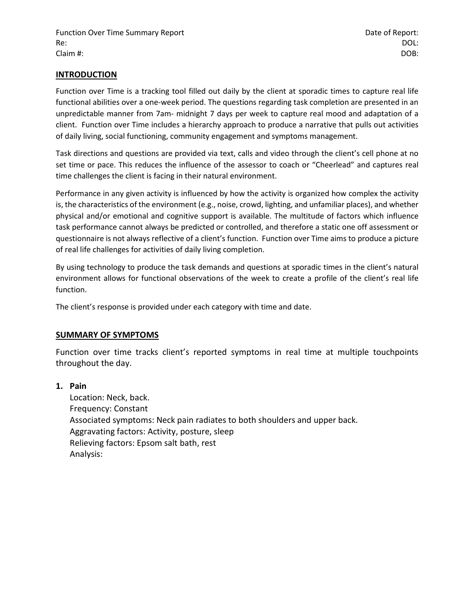#### INTRODUCTION

Function over Time is a tracking tool filled out daily by the client at sporadic times to capture real life functional abilities over a one-week period. The questions regarding task completion are presented in an unpredictable manner from 7am- midnight 7 days per week to capture real mood and adaptation of a client. Function over Time includes a hierarchy approach to produce a narrative that pulls out activities of daily living, social functioning, community engagement and symptoms management.

Task directions and questions are provided via text, calls and video through the client's cell phone at no set time or pace. This reduces the influence of the assessor to coach or "Cheerlead" and captures real time challenges the client is facing in their natural environment.

Performance in any given activity is influenced by how the activity is organized how complex the activity is, the characteristics of the environment (e.g., noise, crowd, lighting, and unfamiliar places), and whether physical and/or emotional and cognitive support is available. The multitude of factors which influence task performance cannot always be predicted or controlled, and therefore a static one off assessment or questionnaire is not always reflective of a client's function. Function over Time aims to produce a picture of real life challenges for activities of daily living completion.

By using technology to produce the task demands and questions at sporadic times in the client's natural environment allows for functional observations of the week to create a profile of the client's real life function.

The client's response is provided under each category with time and date.

#### SUMMARY OF SYMPTOMS

Function over time tracks client's reported symptoms in real time at multiple touchpoints throughout the day.

#### 1. Pain

Location: Neck, back. Frequency: Constant Associated symptoms: Neck pain radiates to both shoulders and upper back. Aggravating factors: Activity, posture, sleep Relieving factors: Epsom salt bath, rest Analysis: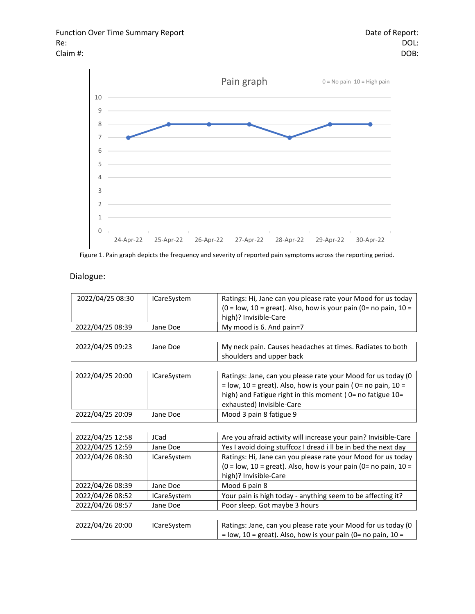

Figure 1. Pain graph depicts the frequency and severity of reported pain symptoms across the reporting period.

#### Dialogue:

| 2022/04/25 08:30 | <b>ICareSystem</b> | Ratings: Hi, Jane can you please rate your Mood for us today          |
|------------------|--------------------|-----------------------------------------------------------------------|
|                  |                    | $(0 = low, 10 = great)$ . Also, how is your pain $(0 = no pain, 10 =$ |
|                  |                    | high)? Invisible-Care                                                 |
| 2022/04/25 08:39 | Jane Doe           | My mood is 6. And pain=7                                              |
|                  |                    |                                                                       |
| 2022/04/25 09:23 | Jane Doe           | My neck pain. Causes headaches at times. Radiates to both             |
|                  |                    | shoulders and upper back                                              |
|                  |                    |                                                                       |
| 2022/04/25 20:00 | <b>ICareSystem</b> | Ratings: Jane, can you please rate your Mood for us today (0          |
|                  |                    | $=$ low, 10 = great). Also, how is your pain (0= no pain, 10 =        |
|                  |                    | high) and Fatigue right in this moment (0= no fatigue 10=             |
|                  |                    | exhausted) Invisible-Care                                             |
| 2022/04/25 20:09 | Jane Doe           | Mood 3 pain 8 fatigue 9                                               |
|                  |                    |                                                                       |
| 2022/04/25 12:58 | <b>JCad</b>        | Are you afraid activity will increase your pain? Invisible-Care       |
| 2022/04/25 12:59 | Jane Doe           | Yes I avoid doing stuffcoz I dread i II be in bed the next day        |
| 2022/04/26 08:30 | <b>ICareSystem</b> | Ratings: Hi, Jane can you please rate your Mood for us today          |
|                  |                    | (0 = low, 10 = great). Also, how is your pain (0 = no pain, 10 =      |
|                  |                    | high)? Invisible-Care                                                 |
| 2022/04/26 08:39 | Jane Doe           | Mood 6 pain 8                                                         |
| 2022/04/26 08:52 | <b>ICareSystem</b> | Your pain is high today - anything seem to be affecting it?           |
| 2022/04/26 08:57 | Jane Doe           | Poor sleep. Got maybe 3 hours                                         |
|                  |                    |                                                                       |
| 2022/04/26 20:00 | <b>ICareSystem</b> | Ratings: Jane, can you please rate your Mood for us today (0          |
|                  |                    | $=$ low, 10 = great). Also, how is your pain (0= no pain, 10 =        |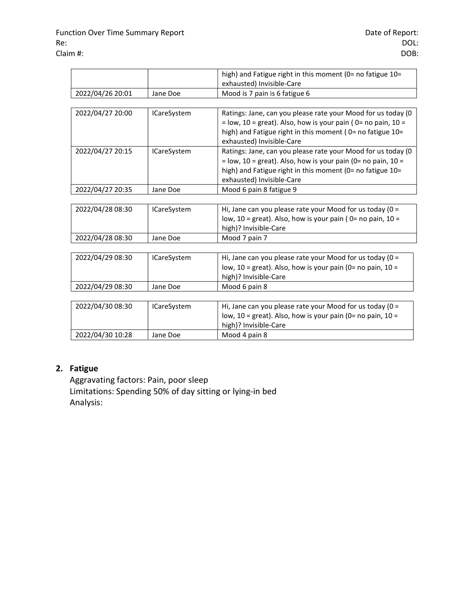|                  |                    | high) and Fatigue right in this moment (0= no fatigue 10=<br>exhausted) Invisible-Care                                                                                                                                     |
|------------------|--------------------|----------------------------------------------------------------------------------------------------------------------------------------------------------------------------------------------------------------------------|
| 2022/04/26 20:01 | Jane Doe           | Mood is 7 pain is 6 fatigue 6                                                                                                                                                                                              |
|                  |                    |                                                                                                                                                                                                                            |
| 2022/04/27 20:00 | <b>ICareSystem</b> | Ratings: Jane, can you please rate your Mood for us today (0<br>$=$ low, 10 = great). Also, how is your pain (0= no pain, 10 =<br>high) and Fatigue right in this moment (0 = no fatigue 10 =<br>exhausted) Invisible-Care |
| 2022/04/27 20:15 | <b>ICareSystem</b> | Ratings: Jane, can you please rate your Mood for us today (0<br>$=$ low, 10 = great). Also, how is your pain (0= no pain, 10 =<br>high) and Fatigue right in this moment (0= no fatigue 10=<br>exhausted) Invisible-Care   |
| 2022/04/27 20:35 | Jane Doe           | Mood 6 pain 8 fatigue 9                                                                                                                                                                                                    |
|                  |                    |                                                                                                                                                                                                                            |
| 2022/04/28 08:30 | <b>ICareSystem</b> | Hi, Jane can you please rate your Mood for us today ( $0 =$<br>low, 10 = great). Also, how is your pain ( $0$ = no pain, $10 =$<br>high)? Invisible-Care                                                                   |
| 2022/04/28 08:30 | Jane Doe           | Mood 7 pain 7                                                                                                                                                                                                              |
|                  |                    |                                                                                                                                                                                                                            |
| 2022/04/29 08:30 | <b>ICareSystem</b> | Hi, Jane can you please rate your Mood for us today ( $0 =$<br>low, $10 =$ great). Also, how is your pain (0= no pain, $10 =$<br>high)? Invisible-Care                                                                     |
| 2022/04/29 08:30 | Jane Doe           | Mood 6 pain 8                                                                                                                                                                                                              |
|                  |                    |                                                                                                                                                                                                                            |
| 2022/04/30 08:30 | <b>ICareSystem</b> | Hi, Jane can you please rate your Mood for us today ( $0 =$<br>low, $10 =$ great). Also, how is your pain (0= no pain, $10 =$<br>high)? Invisible-Care                                                                     |
| 2022/04/30 10:28 | Jane Doe           | Mood 4 pain 8                                                                                                                                                                                                              |

## 2. Fatigue

Aggravating factors: Pain, poor sleep Limitations: Spending 50% of day sitting or lying-in bed Analysis: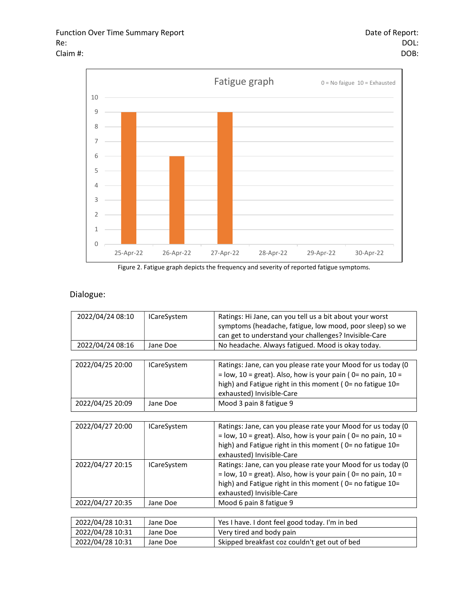

Figure 2. Fatigue graph depicts the frequency and severity of reported fatigue symptoms.

#### Dialogue:

| 2022/04/24 08:10 | <b>ICareSystem</b> | Ratings: Hi Jane, can you tell us a bit about your worst         |
|------------------|--------------------|------------------------------------------------------------------|
|                  |                    | symptoms (headache, fatigue, low mood, poor sleep) so we         |
|                  |                    | can get to understand your challenges? Invisible-Care            |
| 2022/04/24 08:16 | Jane Doe           | No headache. Always fatigued. Mood is okay today.                |
|                  |                    |                                                                  |
| 2022/04/25 20:00 | <b>ICareSystem</b> | Ratings: Jane, can you please rate your Mood for us today (0     |
|                  |                    | $=$ low, 10 = great). Also, how is your pain (0= no pain, 10 =   |
|                  |                    | high) and Fatigue right in this moment (0= no fatigue 10=        |
|                  |                    | exhausted) Invisible-Care                                        |
| 2022/04/25 20:09 | Jane Doe           | Mood 3 pain 8 fatigue 9                                          |
|                  |                    |                                                                  |
| 2022/04/27 20:00 | <b>ICareSystem</b> | Ratings: Jane, can you please rate your Mood for us today (0     |
|                  |                    | $=$ low, 10 = great). Also, how is your pain (0= no pain, 10 =   |
|                  |                    | high) and Fatigue right in this moment ( $0$ = no fatigue $10$ = |
|                  |                    | exhausted) Invisible-Care                                        |
| 2022/04/27 20:15 | <b>ICareSystem</b> | Ratings: Jane, can you please rate your Mood for us today (0     |
|                  |                    | $=$ low, 10 = great). Also, how is your pain (0= no pain, 10 =   |
|                  |                    | high) and Fatigue right in this moment ( $0$ = no fatigue $10$ = |
|                  |                    | exhausted) Invisible-Care                                        |
| 2022/04/27 20:35 | Jane Doe           | Mood 6 pain 8 fatigue 9                                          |
|                  |                    |                                                                  |
| 2022/04/28 10:31 | Jane Doe           | Yes I have. I dont feel good today. I'm in bed                   |
| 2022/04/28 10:31 | Jane Doe           | Very tired and body pain                                         |
| 2022/04/28 10:31 | Jane Doe           | Skipped breakfast coz couldn't get out of bed                    |
|                  |                    |                                                                  |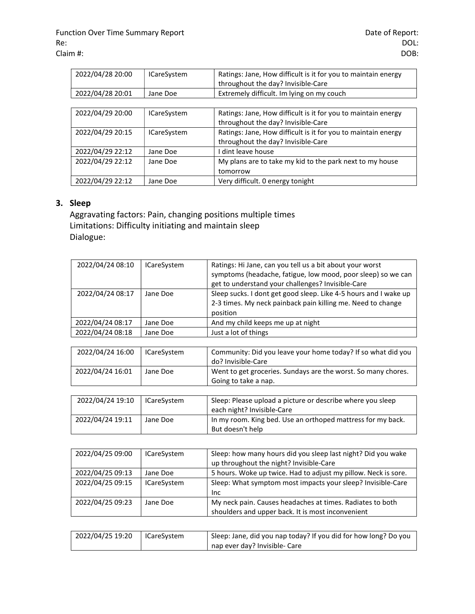| 2022/04/28 20:00 | <b>ICareSystem</b> | Ratings: Jane, How difficult is it for you to maintain energy<br>throughout the day? Invisible-Care |
|------------------|--------------------|-----------------------------------------------------------------------------------------------------|
| 2022/04/28 20:01 | Jane Doe           | Extremely difficult. Im lying on my couch                                                           |
|                  |                    |                                                                                                     |
| 2022/04/29 20:00 | <b>ICareSystem</b> | Ratings: Jane, How difficult is it for you to maintain energy<br>throughout the day? Invisible-Care |
| 2022/04/29 20:15 | <b>ICareSystem</b> | Ratings: Jane, How difficult is it for you to maintain energy<br>throughout the day? Invisible-Care |
| 2022/04/29 22:12 | Jane Doe           | dint leave house                                                                                    |
| 2022/04/29 22:12 | Jane Doe           | My plans are to take my kid to the park next to my house                                            |
|                  |                    | tomorrow                                                                                            |
| 2022/04/29 22:12 | Jane Doe           | Very difficult. 0 energy tonight                                                                    |

## 3. Sleep

Aggravating factors: Pain, changing positions multiple times Limitations: Difficulty initiating and maintain sleep Dialogue:

| 2022/04/24 08:10 | <b>ICareSystem</b> | Ratings: Hi Jane, can you tell us a bit about your worst<br>symptoms (headache, fatigue, low mood, poor sleep) so we can<br>get to understand your challenges? Invisible-Care |
|------------------|--------------------|-------------------------------------------------------------------------------------------------------------------------------------------------------------------------------|
| 2022/04/24 08:17 | Jane Doe           | Sleep sucks. I dont get good sleep. Like 4-5 hours and I wake up<br>2-3 times. My neck painback pain killing me. Need to change<br>position                                   |
| 2022/04/24 08:17 | Jane Doe           | And my child keeps me up at night                                                                                                                                             |
| 2022/04/24 08:18 | Jane Doe           | Just a lot of things                                                                                                                                                          |

| 2022/04/24 16:00 | <b>ICareSystem</b> | Community: Did you leave your home today? If so what did you<br>do? Invisible-Care       |
|------------------|--------------------|------------------------------------------------------------------------------------------|
| 2022/04/24 16:01 | Jane Doe           | Went to get groceries. Sundays are the worst. So many chores.<br>Going to take a nap.    |
|                  |                    |                                                                                          |
| 2022/04/24 19:10 | <b>ICareSystem</b> | Sleep: Please upload a picture or describe where you sleep<br>each night? Invisible-Care |
| 2022/04/24 19:11 | Jane Doe           | In my room. King bed. Use an orthoped mattress for my back.<br>But doesn't help          |

| 2022/04/25 09:00 | <b>ICareSystem</b> | Sleep: how many hours did you sleep last night? Did you wake   |
|------------------|--------------------|----------------------------------------------------------------|
|                  |                    | up throughout the night? Invisible-Care                        |
| 2022/04/25 09:13 | Jane Doe           | 5 hours. Woke up twice. Had to adjust my pillow. Neck is sore. |
| 2022/04/25 09:15 | <b>ICareSystem</b> | Sleep: What symptom most impacts your sleep? Invisible-Care    |
|                  |                    | Inc.                                                           |
| 2022/04/25 09:23 | Jane Doe           | My neck pain. Causes headaches at times. Radiates to both      |
|                  |                    | shoulders and upper back. It is most inconvenient              |
|                  |                    |                                                                |

| 2022/04/25 19:20 | ICareSystem | Sleep: Jane, did you nap today? If you did for how long? Do you |
|------------------|-------------|-----------------------------------------------------------------|
|                  |             | nap ever day? Invisible- Care                                   |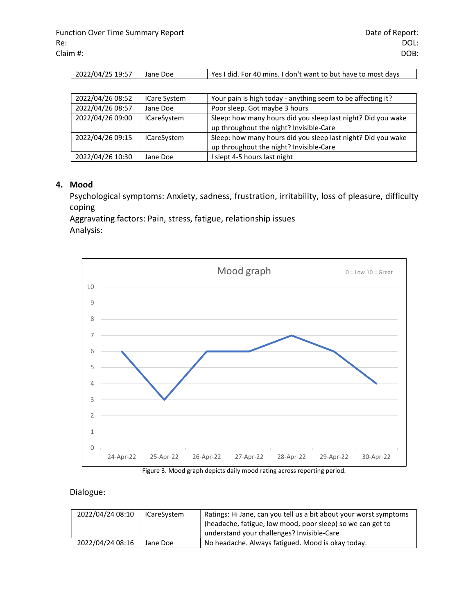| 2022/04/25 19:57 | Llane Doe | Yes I did. For 40 mins. I don't want to but have to most days |
|------------------|-----------|---------------------------------------------------------------|

| 2022/04/26 08:52 | <b>ICare System</b> | Your pain is high today - anything seem to be affecting it?  |
|------------------|---------------------|--------------------------------------------------------------|
| 2022/04/26 08:57 | Jane Doe            | Poor sleep. Got maybe 3 hours                                |
| 2022/04/26 09:00 | <b>ICareSystem</b>  | Sleep: how many hours did you sleep last night? Did you wake |
|                  |                     | up throughout the night? Invisible-Care                      |
| 2022/04/26 09:15 | <b>ICareSystem</b>  | Sleep: how many hours did you sleep last night? Did you wake |
|                  |                     | up throughout the night? Invisible-Care                      |
| 2022/04/26 10:30 | Jane Doe            | slept 4-5 hours last night                                   |

#### 4. Mood

Psychological symptoms: Anxiety, sadness, frustration, irritability, loss of pleasure, difficulty coping

Aggravating factors: Pain, stress, fatigue, relationship issues Analysis:



Figure 3. Mood graph depicts daily mood rating across reporting period.

#### Dialogue:

| 2022/04/24 08:10 | <b>ICareSvstem</b> | Ratings: Hi Jane, can you tell us a bit about your worst symptoms |
|------------------|--------------------|-------------------------------------------------------------------|
|                  |                    | (headache, fatigue, low mood, poor sleep) so we can get to        |
|                  |                    | understand your challenges? Invisible-Care                        |
| 2022/04/24 08:16 | Jane Doe           | No headache. Always fatigued. Mood is okay today.                 |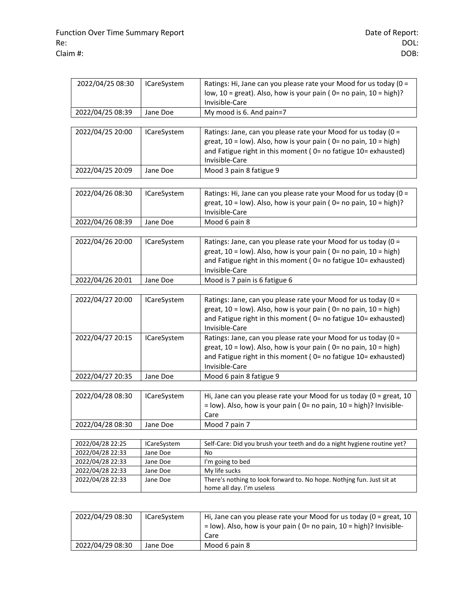| 2022/04/25 08:30 | <b>ICareSystem</b> | Ratings: Hi, Jane can you please rate your Mood for us today (0 =<br>low, $10 =$ great). Also, how is your pain ( $0 =$ no pain, $10 =$ high)?<br>Invisible-Care                                                                 |
|------------------|--------------------|----------------------------------------------------------------------------------------------------------------------------------------------------------------------------------------------------------------------------------|
| 2022/04/25 08:39 | Jane Doe           | My mood is 6. And pain=7                                                                                                                                                                                                         |
|                  |                    |                                                                                                                                                                                                                                  |
| 2022/04/25 20:00 | <b>ICareSystem</b> | Ratings: Jane, can you please rate your Mood for us today (0 =<br>great, 10 = low). Also, how is your pain (0= no pain, 10 = high)<br>and Fatigue right in this moment (0= no fatigue 10= exhausted)<br>Invisible-Care           |
| 2022/04/25 20:09 | Jane Doe           | Mood 3 pain 8 fatigue 9                                                                                                                                                                                                          |
|                  |                    |                                                                                                                                                                                                                                  |
| 2022/04/26 08:30 | <b>ICareSystem</b> | Ratings: Hi, Jane can you please rate your Mood for us today (0 =<br>great, $10 = low$ ). Also, how is your pain (0= no pain, $10 = high$ )?<br>Invisible-Care                                                                   |
| 2022/04/26 08:39 | Jane Doe           | Mood 6 pain 8                                                                                                                                                                                                                    |
|                  |                    |                                                                                                                                                                                                                                  |
| 2022/04/26 20:00 | <b>ICareSystem</b> | Ratings: Jane, can you please rate your Mood for us today (0 =<br>great, $10 = low$ ). Also, how is your pain ( $0 = no$ pain, $10 = high$ )<br>and Fatigue right in this moment (0= no fatigue 10= exhausted)<br>Invisible-Care |
| 2022/04/26 20:01 | Jane Doe           | Mood is 7 pain is 6 fatigue 6                                                                                                                                                                                                    |
|                  |                    |                                                                                                                                                                                                                                  |
| 2022/04/27 20:00 | <b>ICareSystem</b> | Ratings: Jane, can you please rate your Mood for us today (0 =<br>great, $10 = low$ ). Also, how is your pain ( $0 = no$ pain, $10 = high$ )<br>and Fatigue right in this moment (0= no fatigue 10= exhausted)<br>Invisible-Care |
| 2022/04/27 20:15 | <b>ICareSystem</b> | Ratings: Jane, can you please rate your Mood for us today (0 =<br>great, $10 = low$ ). Also, how is your pain ( $0 = no$ pain, $10 = high$ )<br>and Fatigue right in this moment (0= no fatigue 10= exhausted)<br>Invisible-Care |
| 2022/04/27 20:35 | Jane Doe           | Mood 6 pain 8 fatigue 9                                                                                                                                                                                                          |
|                  |                    |                                                                                                                                                                                                                                  |
| 2022/04/28 08:30 | <b>ICareSystem</b> | Hi, Jane can you please rate your Mood for us today ( $0 =$ great, 10<br>$=$ low). Also, how is your pain (0= no pain, 10 = high)? Invisible-<br>Care                                                                            |
| 2022/04/28 08:30 | Jane Doe           | Mood 7 pain 7                                                                                                                                                                                                                    |
|                  |                    |                                                                                                                                                                                                                                  |
| 2022/04/28 22:25 | <b>ICareSystem</b> | Self-Care: Did you brush your teeth and do a night hygiene routine yet?                                                                                                                                                          |
| 2022/04/28 22:33 | Jane Doe           | No                                                                                                                                                                                                                               |
| 2022/04/28 22:33 | Jane Doe           | I'm going to bed                                                                                                                                                                                                                 |
| 2022/04/28 22:33 | Jane Doe           | My life sucks                                                                                                                                                                                                                    |
| 2022/04/28 22:33 | Jane Doe           | There's nothing to look forward to. No hope. Nothjng fun. Just sit at<br>home all day. I'm useless                                                                                                                               |
|                  |                    |                                                                                                                                                                                                                                  |

| 2022/04/29 08:30 | <b>ICareSvstem</b> | Hi, Jane can you please rate your Mood for us today ( $0 =$ great, 10<br>$=$ low). Also, how is your pain (0= no pain, 10 = high)? Invisible-<br>Care |
|------------------|--------------------|-------------------------------------------------------------------------------------------------------------------------------------------------------|
| 2022/04/29 08:30 | Jane Doe           | Mood 6 pain 8                                                                                                                                         |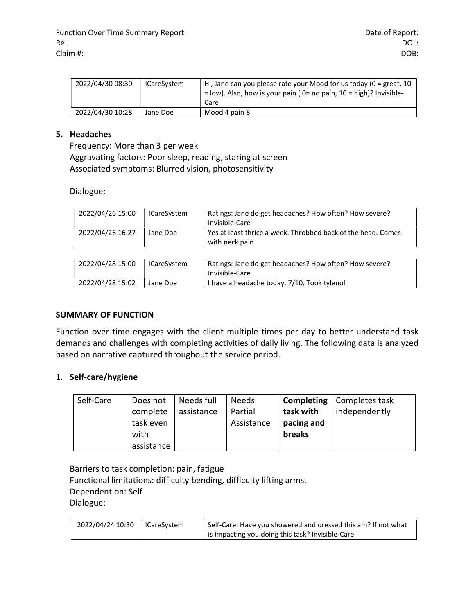| 2022/04/30 08:30 | <b>ICareSystem</b> | Hi, Jane can you please rate your Mood for us today (0 = great, 10<br>$=$ low). Also, how is your pain ( $0=$ no pain, $10=$ high)? Invisible- |
|------------------|--------------------|------------------------------------------------------------------------------------------------------------------------------------------------|
|                  |                    | Care                                                                                                                                           |
| 2022/04/30 10:28 | Jane Doe           | Mood 4 pain 8                                                                                                                                  |

#### 5. Headaches

Frequency: More than 3 per week Aggravating factors: Poor sleep, reading, staring at screen Associated symptoms: Blurred vision, photosensitivity

Dialogue:

| 2022/04/26 15:00 | <b>ICareSystem</b> | Ratings: Jane do get headaches? How often? How severe?<br>Invisible-Care       |
|------------------|--------------------|--------------------------------------------------------------------------------|
| 2022/04/26 16:27 | Jane Doe           | Yes at least thrice a week. Throbbed back of the head. Comes<br>with neck pain |

| 2022/04/28 15:00 | <b>ICareSystem</b> | Ratings: Jane do get headaches? How often? How severe?<br>Invisible-Care |
|------------------|--------------------|--------------------------------------------------------------------------|
| 2022/04/28 15:02 | Jane Doe           | I have a headache today. 7/10. Took tylenol                              |

#### SUMMARY OF FUNCTION

Function over time engages with the client multiple times per day to better understand task demands and challenges with completing activities of daily living. The following data is analyzed based on narrative captured throughout the service period.

#### 1. Self-care/hygiene

| Self-Care | Does not   | Needs full | <b>Needs</b> |            | <b>Completing</b>   Completes task |
|-----------|------------|------------|--------------|------------|------------------------------------|
|           | complete   | assistance | Partial      | task with  | independently                      |
|           | task even  |            | Assistance   | pacing and |                                    |
|           | with       |            |              | breaks     |                                    |
|           | assistance |            |              |            |                                    |

Barriers to task completion: pain, fatigue Functional limitations: difficulty bending, difficulty lifting arms. Dependent on: Self Dialogue:

| 2022/04/24 10:30 | ICareSystem | Self-Care: Have you showered and dressed this am? If not what |
|------------------|-------------|---------------------------------------------------------------|
|                  |             | is impacting you doing this task? Invisible-Care              |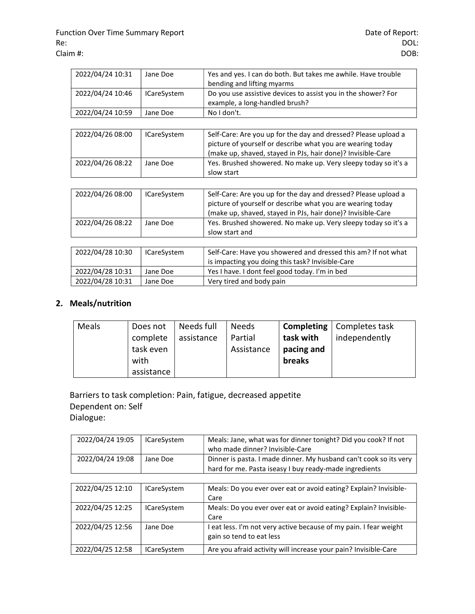| 2022/04/24 10:31 | Jane Doe           | Yes and yes. I can do both. But takes me awhile. Have trouble<br>bending and lifting myarms                                                                                                 |
|------------------|--------------------|---------------------------------------------------------------------------------------------------------------------------------------------------------------------------------------------|
| 2022/04/24 10:46 | <b>ICareSystem</b> | Do you use assistive devices to assist you in the shower? For<br>example, a long-handled brush?                                                                                             |
| 2022/04/24 10:59 | Jane Doe           | No I don't.                                                                                                                                                                                 |
| 2022/04/26 08:00 | <b>ICareSystem</b> | Self-Care: Are you up for the day and dressed? Please upload a<br>picture of yourself or describe what you are wearing today<br>(make up, shaved, stayed in PJs, hair done)? Invisible-Care |
| 2022/04/26 08:22 | Jane Doe           | Yes. Brushed showered. No make up. Very sleepy today so it's a<br>slow start                                                                                                                |
|                  |                    |                                                                                                                                                                                             |
| 2022/04/26 08:00 | <b>ICareSystem</b> | Self-Care: Are you up for the day and dressed? Please upload a<br>picture of yourself or describe what you are wearing today<br>(make up, shaved, stayed in PJs, hair done)? Invisible-Care |
| 2022/04/26 08:22 | Jane Doe           | Yes. Brushed showered. No make up. Very sleepy today so it's a<br>slow start and                                                                                                            |
|                  |                    |                                                                                                                                                                                             |
| 2022/04/28 10:30 | <b>ICareSystem</b> | Self-Care: Have you showered and dressed this am? If not what<br>is impacting you doing this task? Invisible-Care                                                                           |
| 2022/04/28 10:31 | Jane Doe           | Yes I have. I dont feel good today. I'm in bed                                                                                                                                              |

## 2. Meals/nutrition

| Meals | Does not   | Needs full | <b>Needs</b> |            | <b>Completing</b>   Completes task |
|-------|------------|------------|--------------|------------|------------------------------------|
|       | complete   | assistance | Partial      | task with  | independently                      |
|       | task even  |            | Assistance   | pacing and |                                    |
|       | with       |            |              | breaks     |                                    |
|       | assistance |            |              |            |                                    |

Barriers to task completion: Pain, fatigue, decreased appetite Dependent on: Self Dialogue:

2022/04/28 10:31 Jane Doe Very tired and body pain

| 2022/04/24 19:05 | <b>ICareSystem</b> | Meals: Jane, what was for dinner tonight? Did you cook? If not<br>who made dinner? Invisible-Care                           |
|------------------|--------------------|-----------------------------------------------------------------------------------------------------------------------------|
| 2022/04/24 19:08 | Jane Doe           | Dinner is pasta. I made dinner. My husband can't cook so its very<br>hard for me. Pasta iseasy I buy ready-made ingredients |

| 2022/04/25 12:10 | <b>ICareSystem</b> | Meals: Do you ever over eat or avoid eating? Explain? Invisible-  |
|------------------|--------------------|-------------------------------------------------------------------|
|                  |                    | Care                                                              |
| 2022/04/25 12:25 | <b>ICareSystem</b> | Meals: Do you ever over eat or avoid eating? Explain? Invisible-  |
|                  |                    | Care                                                              |
| 2022/04/25 12:56 | Jane Doe           | I eat less. I'm not very active because of my pain. I fear weight |
|                  |                    | gain so tend to eat less                                          |
| 2022/04/25 12:58 | <b>ICareSystem</b> | Are you afraid activity will increase your pain? Invisible-Care   |
|                  |                    |                                                                   |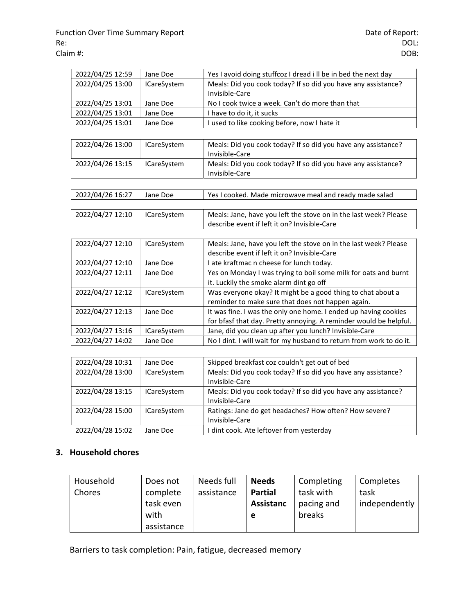| 2022/04/25 12:59 | Jane Doe           | Yes I avoid doing stuffcoz I dread i II be in bed the next day                  |
|------------------|--------------------|---------------------------------------------------------------------------------|
| 2022/04/25 13:00 | <b>ICareSystem</b> | Meals: Did you cook today? If so did you have any assistance?<br>Invisible-Care |
| 2022/04/25 13:01 | Jane Doe           | No I cook twice a week. Can't do more than that                                 |
| 2022/04/25 13:01 | Jane Doe           | I have to do it, it sucks                                                       |
| 2022/04/25 13:01 | Jane Doe           | I used to like cooking before, now I hate it                                    |
|                  |                    |                                                                                 |
| 2022/04/26 13:00 | <b>ICareSystem</b> | Meals: Did you cook today? If so did you have any assistance?<br>Invisible-Care |
| 2022/04/26 13:15 | <b>ICareSystem</b> | Meals: Did you cook today? If so did you have any assistance?<br>Invisible-Care |
|                  |                    |                                                                                 |
| 2022/04/26 16:27 | Jane Doe           | Yes I cooked. Made microwave meal and ready made salad                          |
|                  |                    |                                                                                 |
| 2022/04/27 12:10 | <b>ICareSystem</b> | Meals: Jane, have you left the stove on in the last week? Please                |
|                  |                    | describe event if left it on? Invisible-Care                                    |
|                  |                    |                                                                                 |
| 2022/04/27 12:10 | <b>ICareSystem</b> | Meals: Jane, have you left the stove on in the last week? Please                |
|                  |                    | describe event if left it on? Invisible-Care                                    |
| 2022/04/27 12:10 | Jane Doe           | I ate kraftmac n cheese for lunch today.                                        |
| 2022/04/27 12:11 | Jane Doe           | Yes on Monday I was trying to boil some milk for oats and burnt                 |
|                  |                    | it. Luckily the smoke alarm dint go off                                         |
| 2022/04/27 12:12 | <b>ICareSystem</b> | Was everyone okay? It might be a good thing to chat about a                     |
|                  |                    | reminder to make sure that does not happen again.                               |
| 2022/04/27 12:13 | Jane Doe           | It was fine. I was the only one home. I ended up having cookies                 |
|                  |                    | for bfasf that day. Pretty annoying. A reminder would be helpful.               |
| 2022/04/27 13:16 | <b>ICareSystem</b> | Jane, did you clean up after you lunch? Invisible-Care                          |
| 2022/04/27 14:02 | Jane Doe           | No I dint. I will wait for my husband to return from work to do it.             |
|                  |                    |                                                                                 |
| 2022/04/28 10:31 | Jane Doe           | Skipped breakfast coz couldn't get out of bed                                   |

| 2022/04/28 10:31 | Jane Doe           | Skipped breakfast coz couldn't get out of bed                 |
|------------------|--------------------|---------------------------------------------------------------|
| 2022/04/28 13:00 | <b>ICareSystem</b> | Meals: Did you cook today? If so did you have any assistance? |
|                  |                    | Invisible-Care                                                |
| 2022/04/28 13:15 | <b>ICareSystem</b> | Meals: Did you cook today? If so did you have any assistance? |
|                  |                    | Invisible-Care                                                |
| 2022/04/28 15:00 | <b>ICareSystem</b> | Ratings: Jane do get headaches? How often? How severe?        |
|                  |                    | Invisible-Care                                                |
| 2022/04/28 15:02 | Jane Doe           | I dint cook. Ate leftover from yesterday                      |

## 3. Household chores

| Household | Does not   | Needs full | <b>Needs</b>     | Completing | Completes     |
|-----------|------------|------------|------------------|------------|---------------|
| Chores    | complete   | assistance | Partial          | task with  | task          |
|           | task even  |            | <b>Assistanc</b> | pacing and | independently |
|           | with       |            | e                | breaks     |               |
|           | assistance |            |                  |            |               |

Barriers to task completion: Pain, fatigue, decreased memory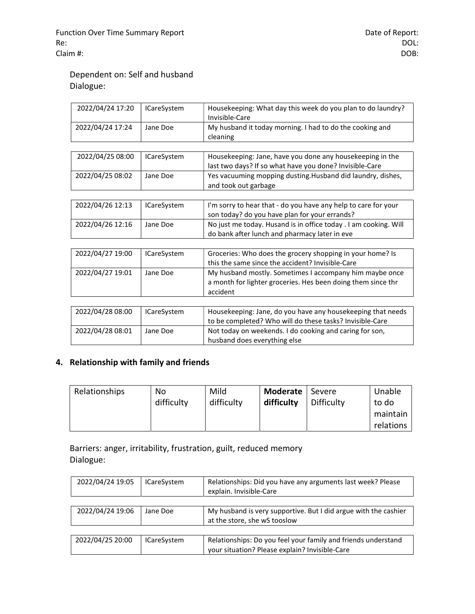## Dependent on: Self and husband Dialogue:

| 2022/04/24 17:20 | <b>ICareSystem</b> | Housekeeping: What day this week do you plan to do laundry?<br>Invisible-Care                                                       |
|------------------|--------------------|-------------------------------------------------------------------------------------------------------------------------------------|
| 2022/04/24 17:24 | Jane Doe           | My husband it today morning. I had to do the cooking and<br>cleaning                                                                |
|                  |                    |                                                                                                                                     |
| 2022/04/25 08:00 | <b>ICareSystem</b> | Housekeeping: Jane, have you done any housekeeping in the<br>last two days? If so what have you done? Invisible-Care                |
| 2022/04/25 08:02 | Jane Doe           | Yes vacuuming mopping dusting. Husband did laundry, dishes,<br>and took out garbage                                                 |
|                  |                    |                                                                                                                                     |
| 2022/04/26 12:13 | <b>ICareSystem</b> | I'm sorry to hear that - do you have any help to care for your<br>son today? do you have plan for your errands?                     |
| 2022/04/26 12:16 | Jane Doe           | No just me today. Husand is in office today . I am cooking. Will<br>do bank after lunch and pharmacy later in eve                   |
|                  |                    |                                                                                                                                     |
| 2022/04/27 19:00 | <b>ICareSystem</b> | Groceries: Who does the grocery shopping in your home? Is<br>this the same since the accident? Invisible-Care                       |
| 2022/04/27 19:01 | Jane Doe           | My husband mostly. Sometimes I accompany him maybe once<br>a month for lighter groceries. Hes been doing them since thr<br>accident |
|                  |                    |                                                                                                                                     |
| 2022/04/28 08:00 | <b>ICareSystem</b> | Housekeeping: Jane, do you have any housekeeping that needs<br>to be completed? Who will do these tasks? Invisible-Care             |
| 2022/04/28 08:01 | Jane Doe           | Not today on weekends. I do cooking and caring for son,<br>husband does everything else                                             |

## 4. Relationship with family and friends

| Relationships | No         | Mild       | <b>Moderate</b> | Severe     | Unable    |
|---------------|------------|------------|-----------------|------------|-----------|
|               | difficulty | difficulty | difficulty      | Difficulty | to do     |
|               |            |            |                 |            | maintain  |
|               |            |            |                 |            | relations |

Barriers: anger, irritability, frustration, guilt, reduced memory Dialogue:

| 2022/04/24 19:05 | <b>ICareSystem</b> | Relationships: Did you have any arguments last week? Please<br>explain. Invisible-Care                          |
|------------------|--------------------|-----------------------------------------------------------------------------------------------------------------|
|                  |                    |                                                                                                                 |
| 2022/04/24 19:06 | Jane Doe           | My husband is very supportive. But I did argue with the cashier<br>at the store, she wS tooslow                 |
|                  |                    |                                                                                                                 |
| 2022/04/25 20:00 | <b>ICareSystem</b> | Relationships: Do you feel your family and friends understand<br>your situation? Please explain? Invisible-Care |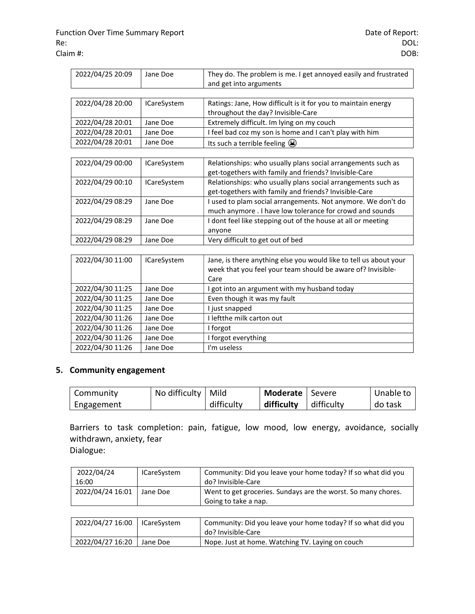| 2022/04/25 20:09 | Jane Doe           | They do. The problem is me. I get annoyed easily and frustrated |
|------------------|--------------------|-----------------------------------------------------------------|
|                  |                    | and get into arguments                                          |
|                  |                    |                                                                 |
| 2022/04/28 20:00 | <b>ICareSystem</b> | Ratings: Jane, How difficult is it for you to maintain energy   |
|                  |                    | throughout the day? Invisible-Care                              |
| 2022/04/28 20:01 | Jane Doe           | Extremely difficult. Im lying on my couch                       |
| 2022/04/28 20:01 | Jane Doe           | I feel bad coz my son is home and I can't play with him         |
| 2022/04/28 20:01 | Jane Doe           | Its such a terrible feeling $\circled{3}$                       |
|                  |                    |                                                                 |
| 2022/04/29 00:00 | <b>ICareSystem</b> | Relationships: who usually plans social arrangements such as    |
|                  |                    | get-togethers with family and friends? Invisible-Care           |
| 2022/04/29 00:10 | <b>ICareSystem</b> | Relationships: who usually plans social arrangements such as    |

| <b>ZUZZ/U4/ZJUU.IU</b> | <b>ICALCOVSLETTE</b> | Relationships. Will usually plans social arrangements such as |
|------------------------|----------------------|---------------------------------------------------------------|
|                        |                      | get-togethers with family and friends? Invisible-Care         |
| 2022/04/29 08:29       | Jane Doe             | I used to plam social arrangements. Not anymore. We don't do  |
|                        |                      | much anymore . I have low tolerance for crowd and sounds      |
| 2022/04/29 08:29       | Jane Doe             | I dont feel like stepping out of the house at all or meeting  |
|                        |                      | anvone                                                        |
| 2022/04/29 08:29       | Jane Doe             | Very difficult to get out of bed                              |

| 2022/04/30 11:00 | <b>ICareSystem</b> | Jane, is there anything else you would like to tell us about your<br>week that you feel your team should be aware of? Invisible-<br>Care |
|------------------|--------------------|------------------------------------------------------------------------------------------------------------------------------------------|
| 2022/04/30 11:25 | Jane Doe           | got into an argument with my husband today                                                                                               |
| 2022/04/30 11:25 | Jane Doe           | Even though it was my fault                                                                                                              |
| 2022/04/30 11:25 | Jane Doe           | I just snapped                                                                                                                           |
| 2022/04/30 11:26 | Jane Doe           | I leftthe milk carton out                                                                                                                |
| 2022/04/30 11:26 | Jane Doe           | I forgot                                                                                                                                 |
| 2022/04/30 11:26 | Jane Doe           | I forgot everything                                                                                                                      |
| 2022/04/30 11:26 | Jane Doe           | I'm useless                                                                                                                              |

#### 5. Community engagement

| Community  | No difficulty   Mild |            | Moderate   Severe |            | Unable to |
|------------|----------------------|------------|-------------------|------------|-----------|
| Engagement |                      | difficulty | difficulty        | difficulty | do task   |

Barriers to task completion: pain, fatigue, low mood, low energy, avoidance, socially withdrawn, anxiety, fear Dialogue:

 2022/04/24 16:00 ICareSystem  $\Box$  Community: Did you leave your home today? If so what did you do? Invisible-Care 2022/04/24 16:01 Jane Doe Went to get groceries. Sundays are the worst. So many chores. Going to take a nap.

| 2022/04/27 16:00 | ICareSvstem | Community: Did you leave your home today? If so what did you<br>do? Invisible-Care |
|------------------|-------------|------------------------------------------------------------------------------------|
| 2022/04/27 16:20 | Jane Doe    | Nope. Just at home. Watching TV. Laying on couch                                   |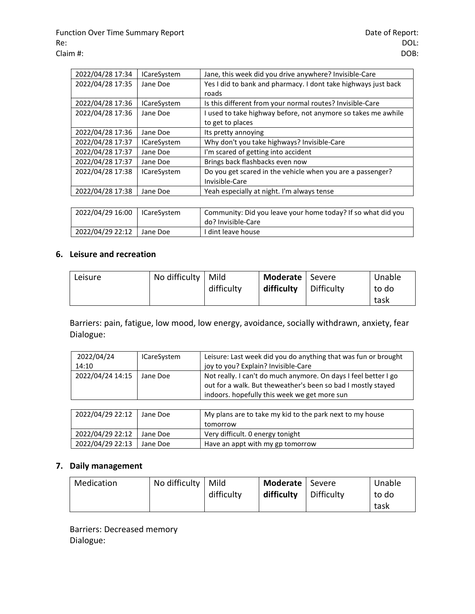| 2022/04/28 17:34 | <b>ICareSystem</b> | Jane, this week did you drive anywhere? Invisible-Care         |
|------------------|--------------------|----------------------------------------------------------------|
| 2022/04/28 17:35 | Jane Doe           | Yes I did to bank and pharmacy. I dont take highways just back |
|                  |                    | roads                                                          |
| 2022/04/28 17:36 | <b>ICareSystem</b> | Is this different from your normal routes? Invisible-Care      |
| 2022/04/28 17:36 | Jane Doe           | I used to take highway before, not anymore so takes me awhile  |
|                  |                    | to get to places                                               |
| 2022/04/28 17:36 | Jane Doe           | Its pretty annoying                                            |
| 2022/04/28 17:37 | <b>ICareSystem</b> | Why don't you take highways? Invisible-Care                    |
| 2022/04/28 17:37 | Jane Doe           | I'm scared of getting into accident                            |
| 2022/04/28 17:37 | Jane Doe           | Brings back flashbacks even now                                |
| 2022/04/28 17:38 | <b>ICareSystem</b> | Do you get scared in the vehicle when you are a passenger?     |
|                  |                    | Invisible-Care                                                 |
| 2022/04/28 17:38 | Jane Doe           | Yeah especially at night. I'm always tense                     |

| 2022/04/29 16:00 | <b>ICareSvstem</b> | Community: Did you leave your home today? If so what did you<br>do? Invisible-Care |
|------------------|--------------------|------------------------------------------------------------------------------------|
| 2022/04/29 22:12 | Jane Doe           | I dint leave house                                                                 |

## 6. Leisure and recreation

| Leisure | No difficulty | Mild       | <b>Moderate</b>   Severe |            | Unable |
|---------|---------------|------------|--------------------------|------------|--------|
|         |               | difficulty | difficulty               | Difficulty | to do  |
|         |               |            |                          |            | task   |

Barriers: pain, fatigue, low mood, low energy, avoidance, socially withdrawn, anxiety, fear Dialogue:

| 2022/04/24       | <b>ICareSystem</b> | Leisure: Last week did you do anything that was fun or brought                                                                                                                  |
|------------------|--------------------|---------------------------------------------------------------------------------------------------------------------------------------------------------------------------------|
| 14:10            |                    | joy to you? Explain? Invisible-Care                                                                                                                                             |
| 2022/04/24 14:15 | Jane Doe           | Not really. I can't do much anymore. On days I feel better I go<br>out for a walk. But theweather's been so bad I mostly stayed<br>indoors. hopefully this week we get more sun |

| 2022/04/29 22:12 | Jane Doe | My plans are to take my kid to the park next to my house |
|------------------|----------|----------------------------------------------------------|
|                  |          | tomorrow                                                 |
| 2022/04/29 22:12 | Jane Doe | Very difficult. 0 energy tonight                         |
| 2022/04/29 22:13 | Jane Doe | Have an appt with my gp tomorrow                         |

## 7. Daily management

| Medication | No difficulty | Mild       | Moderate   Severe |            | Unable |
|------------|---------------|------------|-------------------|------------|--------|
|            |               | difficulty | difficulty        | Difficulty | to do  |
|            |               |            |                   |            | task   |

Barriers: Decreased memory Dialogue: